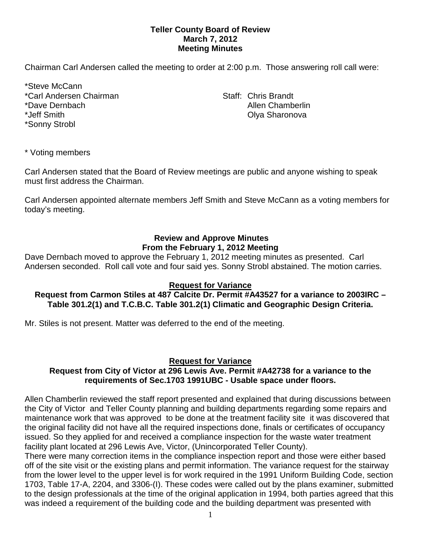## **Teller County Board of Review March 7, 2012 Meeting Minutes**

Chairman Carl Andersen called the meeting to order at 2:00 p.m. Those answering roll call were:

\*Steve McCann \*Carl Andersen Chairman Staff: Chris Brandt \*Dave Dernbach Allen Chamberlin Chamberlin \*Jeff Smith Olya Sharonova \*Sonny Strobl

\* Voting members

Carl Andersen stated that the Board of Review meetings are public and anyone wishing to speak must first address the Chairman.

Carl Andersen appointed alternate members Jeff Smith and Steve McCann as a voting members for today's meeting.

# **Review and Approve Minutes From the February 1, 2012 Meeting**

Dave Dernbach moved to approve the February 1, 2012 meeting minutes as presented. Carl Andersen seconded.Roll call vote and four said yes. Sonny Strobl abstained. The motion carries.

# **Request for Variance**

## **Request from Carmon Stiles at 487 Calcite Dr. Permit #A43527 for a variance to 2003IRC – Table 301.2(1) and T.C.B.C. Table 301.2(1) Climatic and Geographic Design Criteria.**

Mr. Stiles is not present. Matter was deferred to the end of the meeting.

## **Request for Variance**

## **Request from City of Victor at 296 Lewis Ave. Permit #A42738 for a variance to the requirements of Sec.1703 1991UBC - Usable space under floors.**

Allen Chamberlin reviewed the staff report presented and explained that during discussions between the City of Victor and Teller County planning and building departments regarding some repairs and maintenance work that was approved to be done at the treatment facility site it was discovered that the original facility did not have all the required inspections done, finals or certificates of occupancy issued. So they applied for and received a compliance inspection for the waste water treatment facility plant located at 296 Lewis Ave, Victor, (Unincorporated Teller County).

There were many correction items in the compliance inspection report and those were either based off of the site visit or the existing plans and permit information. The variance request for the stairway from the lower level to the upper level is for work required in the 1991 Uniform Building Code, section 1703, Table 17-A, 2204, and 3306-(I). These codes were called out by the plans examiner, submitted to the design professionals at the time of the original application in 1994, both parties agreed that this was indeed a requirement of the building code and the building department was presented with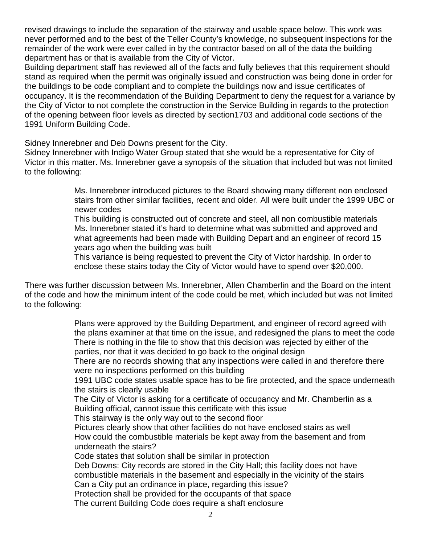revised drawings to include the separation of the stairway and usable space below. This work was never performed and to the best of the Teller County's knowledge, no subsequent inspections for the remainder of the work were ever called in by the contractor based on all of the data the building department has or that is available from the City of Victor.

Building department staff has reviewed all of the facts and fully believes that this requirement should stand as required when the permit was originally issued and construction was being done in order for the buildings to be code compliant and to complete the buildings now and issue certificates of occupancy. It is the recommendation of the Building Department to deny the request for a variance by the City of Victor to not complete the construction in the Service Building in regards to the protection of the opening between floor levels as directed by section1703 and additional code sections of the 1991 Uniform Building Code.

Sidney Innerebner and Deb Downs present for the City.

Sidney Innerebner with Indigo Water Group stated that she would be a representative for City of Victor in this matter. Ms. Innerebner gave a synopsis of the situation that included but was not limited to the following:

> Ms. Innerebner introduced pictures to the Board showing many different non enclosed stairs from other similar facilities, recent and older. All were built under the 1999 UBC or newer codes

This building is constructed out of concrete and steel, all non combustible materials Ms. Innerebner stated it's hard to determine what was submitted and approved and what agreements had been made with Building Depart and an engineer of record 15 years ago when the building was built

This variance is being requested to prevent the City of Victor hardship. In order to enclose these stairs today the City of Victor would have to spend over \$20,000.

There was further discussion between Ms. Innerebner, Allen Chamberlin and the Board on the intent of the code and how the minimum intent of the code could be met, which included but was not limited to the following:

> Plans were approved by the Building Department, and engineer of record agreed with the plans examiner at that time on the issue, and redesigned the plans to meet the code There is nothing in the file to show that this decision was rejected by either of the parties, nor that it was decided to go back to the original design

There are no records showing that any inspections were called in and therefore there were no inspections performed on this building

1991 UBC code states usable space has to be fire protected, and the space underneath the stairs is clearly usable

The City of Victor is asking for a certificate of occupancy and Mr. Chamberlin as a Building official, cannot issue this certificate with this issue

This stairway is the only way out to the second floor

Pictures clearly show that other facilities do not have enclosed stairs as well How could the combustible materials be kept away from the basement and from underneath the stairs?

Code states that solution shall be similar in protection

Deb Downs: City records are stored in the City Hall; this facility does not have combustible materials in the basement and especially in the vicinity of the stairs Can a City put an ordinance in place, regarding this issue?

Protection shall be provided for the occupants of that space

The current Building Code does require a shaft enclosure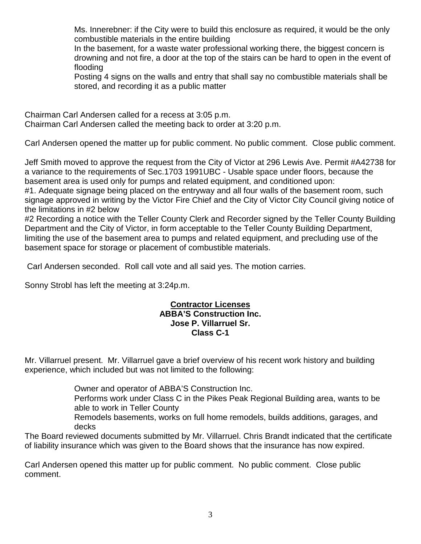Ms. Innerebner: if the City were to build this enclosure as required, it would be the only combustible materials in the entire building

In the basement, for a waste water professional working there, the biggest concern is drowning and not fire, a door at the top of the stairs can be hard to open in the event of flooding

Posting 4 signs on the walls and entry that shall say no combustible materials shall be stored, and recording it as a public matter

Chairman Carl Andersen called for a recess at 3:05 p.m. Chairman Carl Andersen called the meeting back to order at 3:20 p.m.

Carl Andersen opened the matter up for public comment. No public comment. Close public comment.

Jeff Smith moved to approve the request from the City of Victor at 296 Lewis Ave. Permit #A42738 for a variance to the requirements of Sec.1703 1991UBC - Usable space under floors, because the basement area is used only for pumps and related equipment, and conditioned upon:

#1. Adequate signage being placed on the entryway and all four walls of the basement room, such signage approved in writing by the Victor Fire Chief and the City of Victor City Council giving notice of the limitations in #2 below

#2 Recording a notice with the Teller County Clerk and Recorder signed by the Teller County Building Department and the City of Victor, in form acceptable to the Teller County Building Department, limiting the use of the basement area to pumps and related equipment, and precluding use of the basement space for storage or placement of combustible materials.

Carl Andersen seconded.Roll call vote and all said yes. The motion carries.

Sonny Strobl has left the meeting at 3:24p.m.

## **Contractor Licenses ABBA'S Construction Inc. Jose P. Villarruel Sr. Class C-1**

Mr. Villarruel present. Mr. Villarruel gave a brief overview of his recent work history and building experience, which included but was not limited to the following:

Owner and operator of ABBA'S Construction Inc.

Performs work under Class C in the Pikes Peak Regional Building area, wants to be able to work in Teller County

Remodels basements, works on full home remodels, builds additions, garages, and decks

The Board reviewed documents submitted by Mr. Villarruel. Chris Brandt indicated that the certificate of liability insurance which was given to the Board shows that the insurance has now expired.

Carl Andersen opened this matter up for public comment. No public comment. Close public comment.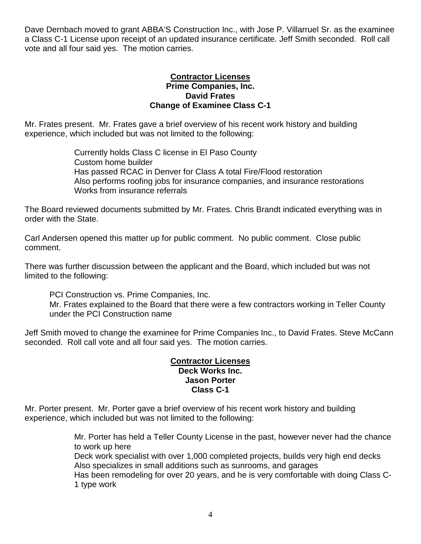Dave Dernbach moved to grant ABBA'S Construction Inc., with Jose P. Villarruel Sr. as the examinee a Class C-1 License upon receipt of an updated insurance certificate. Jeff Smith seconded. Roll call vote and all four said yes. The motion carries.

#### **Contractor Licenses Prime Companies, Inc. David Frates Change of Examinee Class C-1**

Mr. Frates present. Mr. Frates gave a brief overview of his recent work history and building experience, which included but was not limited to the following:

> Currently holds Class C license in El Paso County Custom home builder Has passed RCAC in Denver for Class A total Fire/Flood restoration Also performs roofing jobs for insurance companies, and insurance restorations Works from insurance referrals

The Board reviewed documents submitted by Mr. Frates. Chris Brandt indicated everything was in order with the State.

Carl Andersen opened this matter up for public comment. No public comment. Close public comment.

There was further discussion between the applicant and the Board, which included but was not limited to the following:

PCI Construction vs. Prime Companies, Inc.

Mr. Frates explained to the Board that there were a few contractors working in Teller County under the PCI Construction name

Jeff Smith moved to change the examinee for Prime Companies Inc., to David Frates. Steve McCann seconded. Roll call vote and all four said yes. The motion carries.

#### **Contractor Licenses Deck Works Inc. Jason Porter Class C-1**

Mr. Porter present. Mr. Porter gave a brief overview of his recent work history and building experience, which included but was not limited to the following:

> Mr. Porter has held a Teller County License in the past, however never had the chance to work up here Deck work specialist with over 1,000 completed projects, builds very high end decks Also specializes in small additions such as sunrooms, and garages Has been remodeling for over 20 years, and he is very comfortable with doing Class C-1 type work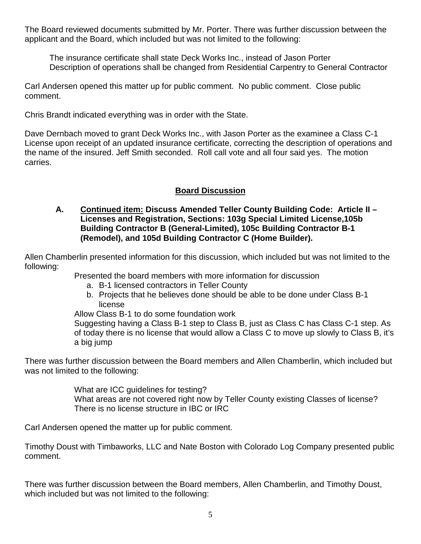The Board reviewed documents submitted by Mr. Porter. There was further discussion between the applicant and the Board, which included but was not limited to the following:

The insurance certificate shall state Deck Works Inc., instead of Jason Porter Description of operations shall be changed from Residential Carpentry to General Contractor

Carl Andersen opened this matter up for public comment. No public comment. Close public comment.

Chris Brandt indicated everything was in order with the State.

Dave Dernbach moved to grant Deck Works Inc., with Jason Porter as the examinee a Class C-1 License upon receipt of an updated insurance certificate, correcting the description of operations and the name of the insured. Jeff Smith seconded. Roll call vote and all four said yes. The motion carries.

# **Board Discussion**

## **A. Continued item: Discuss Amended Teller County Building Code: Article II – Licenses and Registration, Sections: 103g Special Limited License,105b Building Contractor B (General-Limited), 105c Building Contractor B-1 (Remodel), and 105d Building Contractor C (Home Builder).**

Allen Chamberlin presented information for this discussion, which included but was not limited to the following:

Presented the board members with more information for discussion

- a. B-1 licensed contractors in Teller County
- b. Projects that he believes done should be able to be done under Class B-1 license

Allow Class B-1 to do some foundation work

Suggesting having a Class B-1 step to Class B, just as Class C has Class C-1 step. As of today there is no license that would allow a Class C to move up slowly to Class B, it's a big jump

There was further discussion between the Board members and Allen Chamberlin, which included but was not limited to the following:

> What are ICC guidelines for testing? What areas are not covered right now by Teller County existing Classes of license? There is no license structure in IBC or IRC

Carl Andersen opened the matter up for public comment.

Timothy Doust with Timbaworks, LLC and Nate Boston with Colorado Log Company presented public comment.

There was further discussion between the Board members, Allen Chamberlin, and Timothy Doust, which included but was not limited to the following: